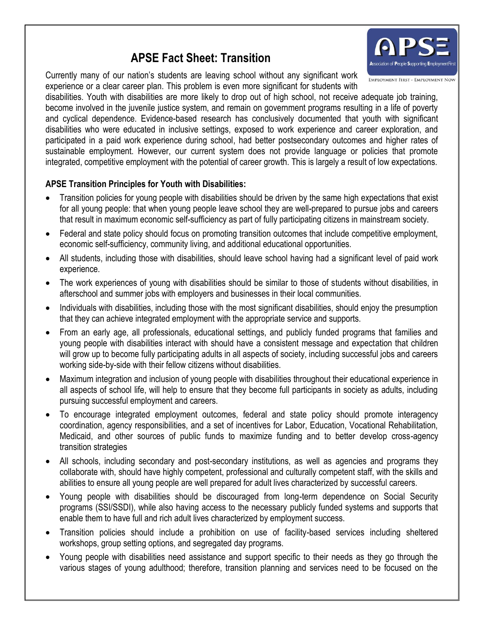# **APSE Fact Sheet: Transition**

Currently many of our nation's students are leaving school without any significant work experience or a clear career plan. This problem is even more significant for students with

**EMPLOYMENT FIRST - EMPLOYMENT NOW** disabilities. Youth with disabilities are more likely to drop out of high school, not receive adequate job training, become involved in the juvenile justice system, and remain on government programs resulting in a life of poverty and cyclical dependence. Evidence-based research has conclusively documented that youth with significant disabilities who were educated in inclusive settings, exposed to work experience and career exploration, and participated in a paid work experience during school, had better postsecondary outcomes and higher rates of sustainable employment. However, our current system does not provide language or policies that promote integrated, competitive employment with the potential of career growth. This is largely a result of low expectations.

## **APSE Transition Principles for Youth with Disabilities:**

- Transition policies for young people with disabilities should be driven by the same high expectations that exist for all young people: that when young people leave school they are well-prepared to pursue jobs and careers that result in maximum economic self-sufficiency as part of fully participating citizens in mainstream society.
- Federal and state policy should focus on promoting transition outcomes that include competitive employment, economic self-sufficiency, community living, and additional educational opportunities.
- All students, including those with disabilities, should leave school having had a significant level of paid work experience.
- The work experiences of young with disabilities should be similar to those of students without disabilities, in afterschool and summer jobs with employers and businesses in their local communities.
- Individuals with disabilities, including those with the most significant disabilities, should enjoy the presumption that they can achieve integrated employment with the appropriate service and supports.
- From an early age, all professionals, educational settings, and publicly funded programs that families and young people with disabilities interact with should have a consistent message and expectation that children will grow up to become fully participating adults in all aspects of society, including successful jobs and careers working side-by-side with their fellow citizens without disabilities.
- Maximum integration and inclusion of young people with disabilities throughout their educational experience in all aspects of school life, will help to ensure that they become full participants in society as adults, including pursuing successful employment and careers.
- To encourage integrated employment outcomes, federal and state policy should promote interagency coordination, agency responsibilities, and a set of incentives for Labor, Education, Vocational Rehabilitation, Medicaid, and other sources of public funds to maximize funding and to better develop cross-agency transition strategies
- All schools, including secondary and post-secondary institutions, as well as agencies and programs they collaborate with, should have highly competent, professional and culturally competent staff, with the skills and abilities to ensure all young people are well prepared for adult lives characterized by successful careers.
- Young people with disabilities should be discouraged from long-term dependence on Social Security programs (SSI/SSDI), while also having access to the necessary publicly funded systems and supports that enable them to have full and rich adult lives characterized by employment success.
- Transition policies should include a prohibition on use of facility-based services including sheltered workshops, group setting options, and segregated day programs.
- Young people with disabilities need assistance and support specific to their needs as they go through the various stages of young adulthood; therefore, transition planning and services need to be focused on the